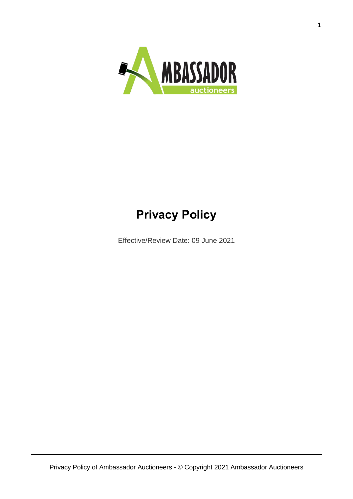

# **Privacy Policy**

Effective/Review Date: 09 June 2021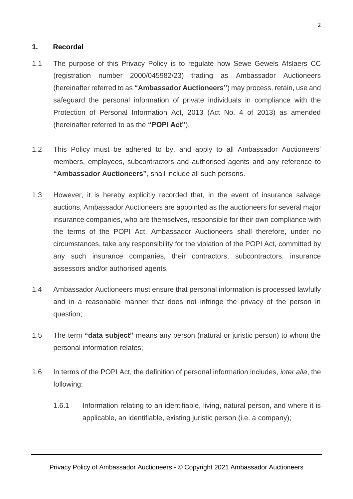#### **1. Recordal**

- 1.1 The purpose of this Privacy Policy is to regulate how Sewe Gewels Afslaers CC (registration number 2000/045982/23) trading as Ambassador Auctioneers (hereinafter referred to as **"Ambassador Auctioneers"**) may process, retain, use and safeguard the personal information of private individuals in compliance with the Protection of Personal Information Act, 2013 (Act No. 4 of 2013) as amended (hereinafter referred to as the **"POPI Act"**).
- 1.2 This Policy must be adhered to by, and apply to all Ambassador Auctioneers' members, employees, subcontractors and authorised agents and any reference to **"Ambassador Auctioneers"**, shall include all such persons.
- 1.3 However, it is hereby explicitly recorded that, in the event of insurance salvage auctions, Ambassador Auctioneers are appointed as the auctioneers for several major insurance companies, who are themselves, responsible for their own compliance with the terms of the POPI Act. Ambassador Auctioneers shall therefore, under no circumstances, take any responsibility for the violation of the POPI Act, committed by any such insurance companies, their contractors, subcontractors, insurance assessors and/or authorised agents.
- 1.4 Ambassador Auctioneers must ensure that personal information is processed lawfully and in a reasonable manner that does not infringe the privacy of the person in question;
- 1.5 The term **"data subject"** means any person (natural or juristic person) to whom the personal information relates;
- 1.6 In terms of the POPI Act, the definition of personal information includes, *inter alia*, the following:
	- 1.6.1 Information relating to an identifiable, living, natural person, and where it is applicable, an identifiable, existing juristic person (i.e. a company);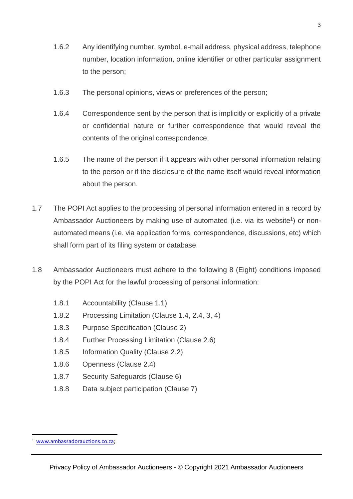- 1.6.2 Any identifying number, symbol, e-mail address, physical address, telephone number, location information, online identifier or other particular assignment to the person;
- 1.6.3 The personal opinions, views or preferences of the person;
- 1.6.4 Correspondence sent by the person that is implicitly or explicitly of a private or confidential nature or further correspondence that would reveal the contents of the original correspondence;
- 1.6.5 The name of the person if it appears with other personal information relating to the person or if the disclosure of the name itself would reveal information about the person.
- 1.7 The POPI Act applies to the processing of personal information entered in a record by Ambassador Auctioneers by making use of automated (i.e. via its website<sup>1</sup>) or nonautomated means (i.e. via application forms, correspondence, discussions, etc) which shall form part of its filing system or database.
- 1.8 Ambassador Auctioneers must adhere to the following 8 (Eight) conditions imposed by the POPI Act for the lawful processing of personal information:
	- 1.8.1 Accountability (Clause 1.1)
	- 1.8.2 Processing Limitation (Clause 1.4, 2.4, 3, 4)
	- 1.8.3 Purpose Specification (Clause 2)
	- 1.8.4 Further Processing Limitation (Clause 2.6)
	- 1.8.5 Information Quality (Clause 2.2)
	- 1.8.6 Openness (Clause 2.4)
	- 1.8.7 Security Safeguards (Clause 6)
	- 1.8.8 Data subject participation (Clause 7)

<sup>1</sup> [www.ambassadorauctions.co.za;](http://www.ambassadorauctions.co.za/)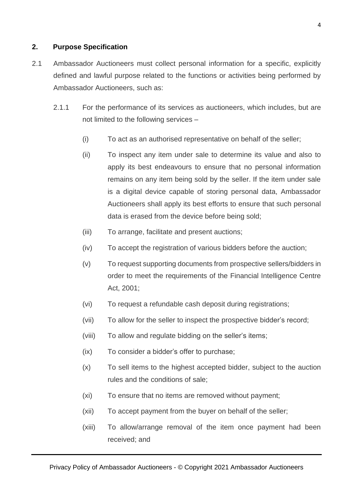# **2. Purpose Specification**

- 2.1 Ambassador Auctioneers must collect personal information for a specific, explicitly defined and lawful purpose related to the functions or activities being performed by Ambassador Auctioneers, such as:
	- 2.1.1 For the performance of its services as auctioneers, which includes, but are not limited to the following services –
		- (i) To act as an authorised representative on behalf of the seller;
		- (ii) To inspect any item under sale to determine its value and also to apply its best endeavours to ensure that no personal information remains on any item being sold by the seller. If the item under sale is a digital device capable of storing personal data, Ambassador Auctioneers shall apply its best efforts to ensure that such personal data is erased from the device before being sold;
		- (iii) To arrange, facilitate and present auctions;
		- (iv) To accept the registration of various bidders before the auction;
		- (v) To request supporting documents from prospective sellers/bidders in order to meet the requirements of the Financial Intelligence Centre Act, 2001;
		- (vi) To request a refundable cash deposit during registrations;
		- (vii) To allow for the seller to inspect the prospective bidder's record;
		- (viii) To allow and regulate bidding on the seller's items;
		- (ix) To consider a bidder's offer to purchase;
		- (x) To sell items to the highest accepted bidder, subject to the auction rules and the conditions of sale;
		- (xi) To ensure that no items are removed without payment;
		- (xii) To accept payment from the buyer on behalf of the seller;
		- (xiii) To allow/arrange removal of the item once payment had been received; and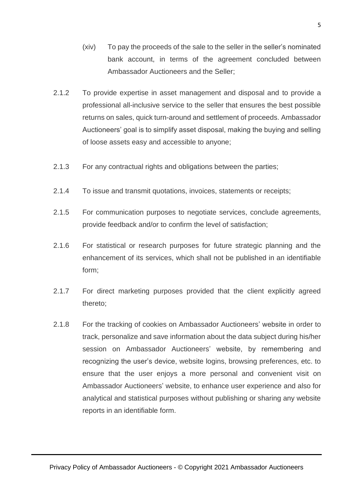- (xiv) To pay the proceeds of the sale to the seller in the seller's nominated bank account, in terms of the agreement concluded between Ambassador Auctioneers and the Seller;
- 2.1.2 To provide expertise in asset management and disposal and to provide a professional all-inclusive service to the seller that ensures the best possible returns on sales, quick turn-around and settlement of proceeds. Ambassador Auctioneers' goal is to simplify asset disposal, making the buying and selling of loose assets easy and accessible to anyone;
- 2.1.3 For any contractual rights and obligations between the parties;
- 2.1.4 To issue and transmit quotations, invoices, statements or receipts;
- 2.1.5 For communication purposes to negotiate services, conclude agreements, provide feedback and/or to confirm the level of satisfaction;
- 2.1.6 For statistical or research purposes for future strategic planning and the enhancement of its services, which shall not be published in an identifiable form;
- 2.1.7 For direct marketing purposes provided that the client explicitly agreed thereto;
- 2.1.8 For the tracking of cookies on Ambassador Auctioneers' website in order to track, personalize and save information about the data subject during his/her session on Ambassador Auctioneers' website, by remembering and recognizing the user's device, website logins, browsing preferences, etc. to ensure that the user enjoys a more personal and convenient visit on Ambassador Auctioneers' website, to enhance user experience and also for analytical and statistical purposes without publishing or sharing any website reports in an identifiable form.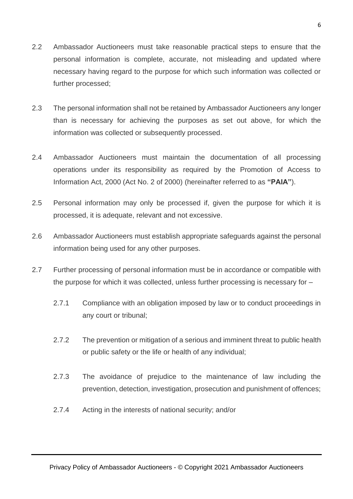- 2.2 Ambassador Auctioneers must take reasonable practical steps to ensure that the personal information is complete, accurate, not misleading and updated where necessary having regard to the purpose for which such information was collected or further processed;
- 2.3 The personal information shall not be retained by Ambassador Auctioneers any longer than is necessary for achieving the purposes as set out above, for which the information was collected or subsequently processed.
- 2.4 Ambassador Auctioneers must maintain the documentation of all processing operations under its responsibility as required by the Promotion of Access to Information Act, 2000 (Act No. 2 of 2000) (hereinafter referred to as **"PAIA"**).
- 2.5 Personal information may only be processed if, given the purpose for which it is processed, it is adequate, relevant and not excessive.
- 2.6 Ambassador Auctioneers must establish appropriate safeguards against the personal information being used for any other purposes.
- 2.7 Further processing of personal information must be in accordance or compatible with the purpose for which it was collected, unless further processing is necessary for –
	- 2.7.1 Compliance with an obligation imposed by law or to conduct proceedings in any court or tribunal;
	- 2.7.2 The prevention or mitigation of a serious and imminent threat to public health or public safety or the life or health of any individual;
	- 2.7.3 The avoidance of prejudice to the maintenance of law including the prevention, detection, investigation, prosecution and punishment of offences;
	- 2.7.4 Acting in the interests of national security; and/or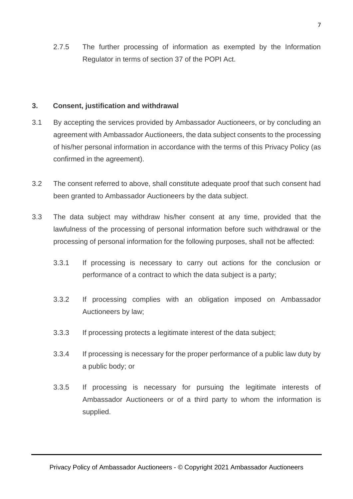2.7.5 The further processing of information as exempted by the Information Regulator in terms of section 37 of the POPI Act.

#### **3. Consent, justification and withdrawal**

- 3.1 By accepting the services provided by Ambassador Auctioneers, or by concluding an agreement with Ambassador Auctioneers, the data subject consents to the processing of his/her personal information in accordance with the terms of this Privacy Policy (as confirmed in the agreement).
- 3.2 The consent referred to above, shall constitute adequate proof that such consent had been granted to Ambassador Auctioneers by the data subject.
- 3.3 The data subject may withdraw his/her consent at any time, provided that the lawfulness of the processing of personal information before such withdrawal or the processing of personal information for the following purposes, shall not be affected:
	- 3.3.1 If processing is necessary to carry out actions for the conclusion or performance of a contract to which the data subject is a party;
	- 3.3.2 If processing complies with an obligation imposed on Ambassador Auctioneers by law;
	- 3.3.3 If processing protects a legitimate interest of the data subject;
	- 3.3.4 If processing is necessary for the proper performance of a public law duty by a public body; or
	- 3.3.5 If processing is necessary for pursuing the legitimate interests of Ambassador Auctioneers or of a third party to whom the information is supplied.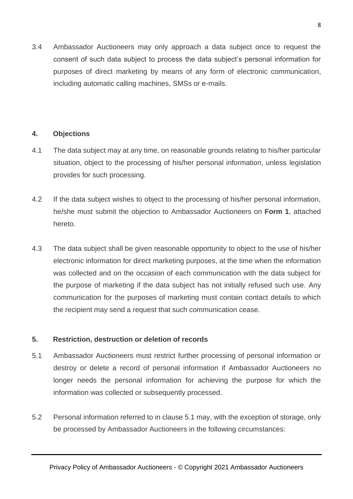3.4 Ambassador Auctioneers may only approach a data subject once to request the consent of such data subject to process the data subject's personal information for purposes of direct marketing by means of any form of electronic communication, including automatic calling machines, SMSs or e-mails.

#### **4. Objections**

- 4.1 The data subject may at any time, on reasonable grounds relating to his/her particular situation, object to the processing of his/her personal information, unless legislation provides for such processing.
- 4.2 If the data subject wishes to object to the processing of his/her personal information, he/she must submit the objection to Ambassador Auctioneers on **Form 1**, attached hereto.
- 4.3 The data subject shall be given reasonable opportunity to object to the use of his/her electronic information for direct marketing purposes, at the time when the information was collected and on the occasion of each communication with the data subject for the purpose of marketing if the data subject has not initially refused such use. Any communication for the purposes of marketing must contain contact details to which the recipient may send a request that such communication cease.

## **5. Restriction, destruction or deletion of records**

- 5.1 Ambassador Auctioneers must restrict further processing of personal information or destroy or delete a record of personal information if Ambassador Auctioneers no longer needs the personal information for achieving the purpose for which the information was collected or subsequently processed.
- 5.2 Personal information referred to in clause 5.1 may, with the exception of storage, only be processed by Ambassador Auctioneers in the following circumstances: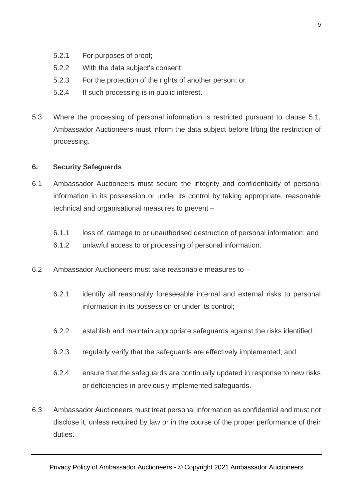- 5.2.1 For purposes of proof;
- 5.2.2 With the data subject's consent;
- 5.2.3 For the protection of the rights of another person; or
- 5.2.4 If such processing is in public interest.
- 5.3 Where the processing of personal information is restricted pursuant to clause 5.1, Ambassador Auctioneers must inform the data subject before lifting the restriction of processing.

#### **6. Security Safeguards**

- 6.1 Ambassador Auctioneers must secure the integrity and confidentiality of personal information in its possession or under its control by taking appropriate, reasonable technical and organisational measures to prevent –
	- 6.1.1 loss of, damage to or unauthorised destruction of personal information; and
	- 6.1.2 unlawful access to or processing of personal information.
- 6.2 Ambassador Auctioneers must take reasonable measures to
	- 6.2.1 identify all reasonably foreseeable internal and external risks to personal information in its possession or under its control;
	- 6.2.2 establish and maintain appropriate safeguards against the risks identified;
	- 6.2.3 regularly verify that the safeguards are effectively implemented; and
	- 6.2.4 ensure that the safeguards are continually updated in response to new risks or deficiencies in previously implemented safeguards.
- 6.3 Ambassador Auctioneers must treat personal information as confidential and must not disclose it, unless required by law or in the course of the proper performance of their duties.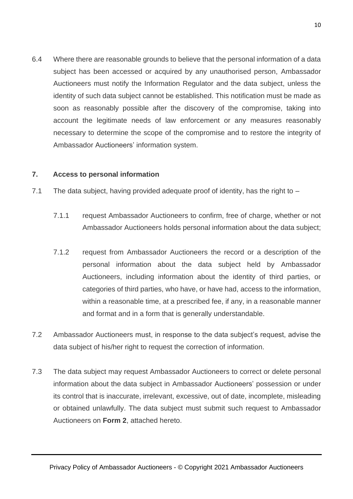6.4 Where there are reasonable grounds to believe that the personal information of a data subject has been accessed or acquired by any unauthorised person, Ambassador Auctioneers must notify the Information Regulator and the data subject, unless the identity of such data subject cannot be established. This notification must be made as soon as reasonably possible after the discovery of the compromise, taking into account the legitimate needs of law enforcement or any measures reasonably necessary to determine the scope of the compromise and to restore the integrity of Ambassador Auctioneers' information system.

#### **7. Access to personal information**

- 7.1 The data subject, having provided adequate proof of identity, has the right to  $-$ 
	- 7.1.1 request Ambassador Auctioneers to confirm, free of charge, whether or not Ambassador Auctioneers holds personal information about the data subject;
	- 7.1.2 request from Ambassador Auctioneers the record or a description of the personal information about the data subject held by Ambassador Auctioneers, including information about the identity of third parties, or categories of third parties, who have, or have had, access to the information, within a reasonable time, at a prescribed fee, if any, in a reasonable manner and format and in a form that is generally understandable.
- 7.2 Ambassador Auctioneers must, in response to the data subject's request, advise the data subject of his/her right to request the correction of information.
- 7.3 The data subject may request Ambassador Auctioneers to correct or delete personal information about the data subject in Ambassador Auctioneers' possession or under its control that is inaccurate, irrelevant, excessive, out of date, incomplete, misleading or obtained unlawfully. The data subject must submit such request to Ambassador Auctioneers on **Form 2**, attached hereto.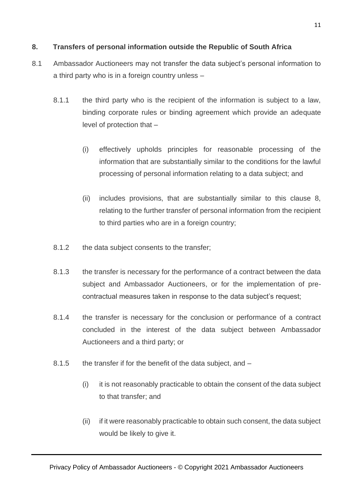## **8. Transfers of personal information outside the Republic of South Africa**

- 8.1 Ambassador Auctioneers may not transfer the data subject's personal information to a third party who is in a foreign country unless –
	- 8.1.1 the third party who is the recipient of the information is subject to a law, binding corporate rules or binding agreement which provide an adequate level of protection that –
		- (i) effectively upholds principles for reasonable processing of the information that are substantially similar to the conditions for the lawful processing of personal information relating to a data subject; and
		- (ii) includes provisions, that are substantially similar to this clause 8, relating to the further transfer of personal information from the recipient to third parties who are in a foreign country;
	- 8.1.2 the data subject consents to the transfer;
	- 8.1.3 the transfer is necessary for the performance of a contract between the data subject and Ambassador Auctioneers, or for the implementation of precontractual measures taken in response to the data subject's request;
	- 8.1.4 the transfer is necessary for the conclusion or performance of a contract concluded in the interest of the data subject between Ambassador Auctioneers and a third party; or
	- 8.1.5 the transfer if for the benefit of the data subject, and
		- (i) it is not reasonably practicable to obtain the consent of the data subject to that transfer; and
		- (ii) if it were reasonably practicable to obtain such consent, the data subject would be likely to give it.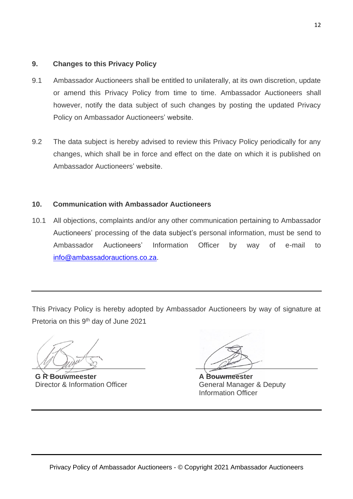## **9. Changes to this Privacy Policy**

- 9.1 Ambassador Auctioneers shall be entitled to unilaterally, at its own discretion, update or amend this Privacy Policy from time to time. Ambassador Auctioneers shall however, notify the data subject of such changes by posting the updated Privacy Policy on Ambassador Auctioneers' website.
- 9.2 The data subject is hereby advised to review this Privacy Policy periodically for any changes, which shall be in force and effect on the date on which it is published on Ambassador Auctioneers' website.

## **10. Communication with Ambassador Auctioneers**

10.1 All objections, complaints and/or any other communication pertaining to Ambassador Auctioneers' processing of the data subject's personal information, must be send to Ambassador Auctioneers' Information Officer by way of e-mail to [info@ambassadorauctions.co.za.](mailto:info@ambassadorauctions.co.za)

This Privacy Policy is hereby adopted by Ambassador Auctioneers by way of signature at Pretoria on this 9<sup>th</sup> day of June 2021

**G R Bouwmeester** Director & Information Officer

**A Bouwmeester** General Manager & Deputy Information Officer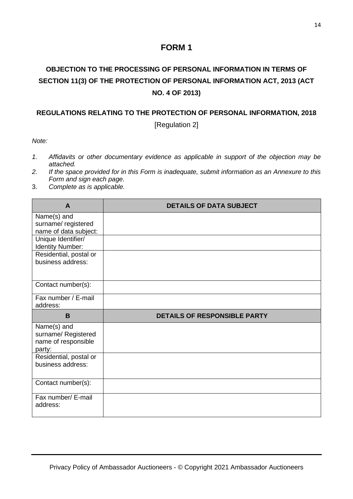# **FORM 1**

# **OBJECTION TO THE PROCESSING OF PERSONAL INFORMATION IN TERMS OF SECTION 11(3) OF THE PROTECTION OF PERSONAL INFORMATION ACT, 2013 (ACT NO. 4 OF 2013)**

#### **REGULATIONS RELATING TO THE PROTECTION OF PERSONAL INFORMATION, 2018**

[Regulation 2]

*Note:*

- *1. Affidavits or other documentary evidence as applicable in support of the objection may be attached.*
- *2. If the space provided for in this Form is inadequate, submit information as an Annexure to this Form and sign each page.*
- 3. *Complete as is applicable.*

| A                                                                   | <b>DETAILS OF DATA SUBJECT</b>      |
|---------------------------------------------------------------------|-------------------------------------|
| Name(s) and<br>surname/registered<br>name of data subject:          |                                     |
| Unique Identifier/<br><b>Identity Number:</b>                       |                                     |
| Residential, postal or<br>business address:                         |                                     |
| Contact number(s):                                                  |                                     |
| Fax number / E-mail<br>address:                                     |                                     |
| B                                                                   | <b>DETAILS OF RESPONSIBLE PARTY</b> |
| Name(s) and<br>surname/ Registered<br>name of responsible<br>party: |                                     |
| Residential, postal or<br>business address:                         |                                     |
| Contact number(s):                                                  |                                     |
| Fax number/ E-mail<br>address:                                      |                                     |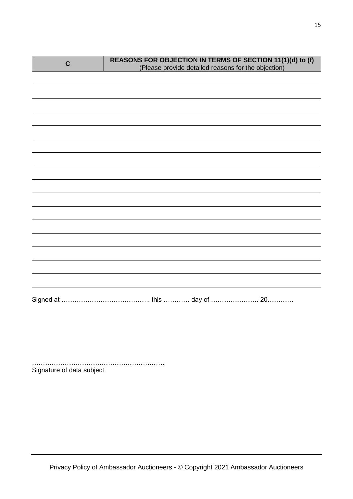| $\mathbf C$ | REASONS FOR OBJECTION IN TERMS OF SECTION 11(1)(d) to (f)<br>(Please provide detailed reasons for the objection) |
|-------------|------------------------------------------------------------------------------------------------------------------|
|             |                                                                                                                  |
|             |                                                                                                                  |
|             |                                                                                                                  |
|             |                                                                                                                  |
|             |                                                                                                                  |
|             |                                                                                                                  |
|             |                                                                                                                  |
|             |                                                                                                                  |
|             |                                                                                                                  |
|             |                                                                                                                  |
|             |                                                                                                                  |
|             |                                                                                                                  |
|             |                                                                                                                  |
|             |                                                                                                                  |
|             |                                                                                                                  |
|             |                                                                                                                  |
|             |                                                                                                                  |

……………………………………………………. Signature of data subject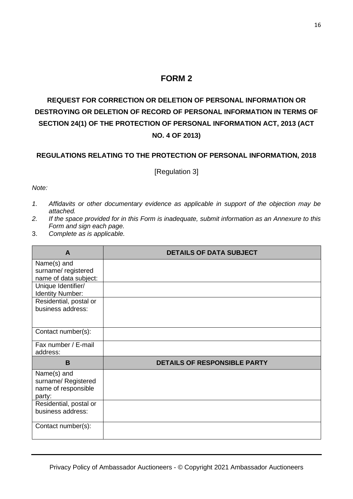## **FORM 2**

# **REQUEST FOR CORRECTION OR DELETION OF PERSONAL INFORMATION OR DESTROYING OR DELETION OF RECORD OF PERSONAL INFORMATION IN TERMS OF SECTION 24(1) OF THE PROTECTION OF PERSONAL INFORMATION ACT, 2013 (ACT NO. 4 OF 2013)**

#### **REGULATIONS RELATING TO THE PROTECTION OF PERSONAL INFORMATION, 2018**

[Regulation 3]

#### *Note:*

- *1. Affidavits or other documentary evidence as applicable in support of the objection may be attached.*
- *2. If the space provided for in this Form is inadequate, submit information as an Annexure to this Form and sign each page.*
- 3. *Complete as is applicable.*

| A                                                 | <b>DETAILS OF DATA SUBJECT</b>      |
|---------------------------------------------------|-------------------------------------|
| Name(s) and                                       |                                     |
| surname/ registered<br>name of data subject:      |                                     |
| Unique Identifier/                                |                                     |
| <b>Identity Number:</b><br>Residential, postal or |                                     |
| business address:                                 |                                     |
|                                                   |                                     |
| Contact number(s):                                |                                     |
| Fax number / E-mail                               |                                     |
| address:                                          |                                     |
| B                                                 | <b>DETAILS OF RESPONSIBLE PARTY</b> |
| Name(s) and                                       |                                     |
| surname/ Registered<br>name of responsible        |                                     |
| party:                                            |                                     |
| Residential, postal or                            |                                     |
| business address:                                 |                                     |
| Contact number(s):                                |                                     |
|                                                   |                                     |